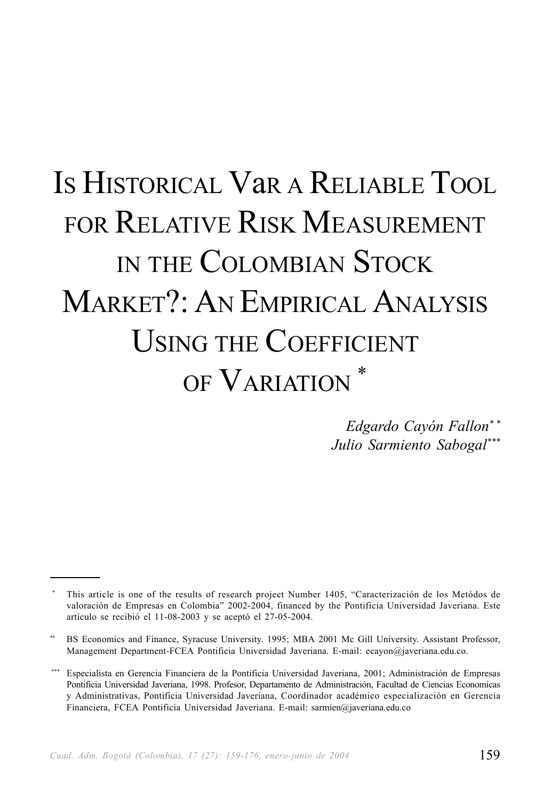# IS HISTORICAL VaR A RELIABLE TOOL FOR RELATIVE RISK MEASUREMENT IN THE COLOMBIAN STOCK MARKET?: AN EMPIRICAL ANALYSIS USING THE COEFFICIENT OF VARIATION  $^\ast$

*Edgardo Cayón Fallon\* \* Julio Sarmiento Sabogal\*\*\**

<sup>\*</sup> This article is one of the results of research project Number 1405, "Caracterización de los Metódos de valoración de Empresas en Colombia" 2002-2004, financed by the Pontificia Universidad Javeriana. Este artículo se recibió el 11-08-2003 y se aceptó el 27-05-2004.

BS Economics and Finance, Syracuse University. 1995; MBA 2001 Mc Gill University. Assistant Professor, Management Department-FCEA Pontificia Universidad Javeriana. E-mail: ecayon@javeriana.edu.co.

<sup>\*\*\*</sup> Especialista en Gerencia Financiera de la Pontificia Universidad Javeriana, 2001; Administración de Empresas Pontificia Universidad Javeriana, 1998. Profesor, Departamento de Administración, Facultad de Ciencias Economicas y Administrativas, Pontificia Universidad Javeriana, Coordinador académico especialización en Gerencia Financiera, FCEA Pontificia Universidad Javeriana. E-mail: sarmien@javeriana.edu.co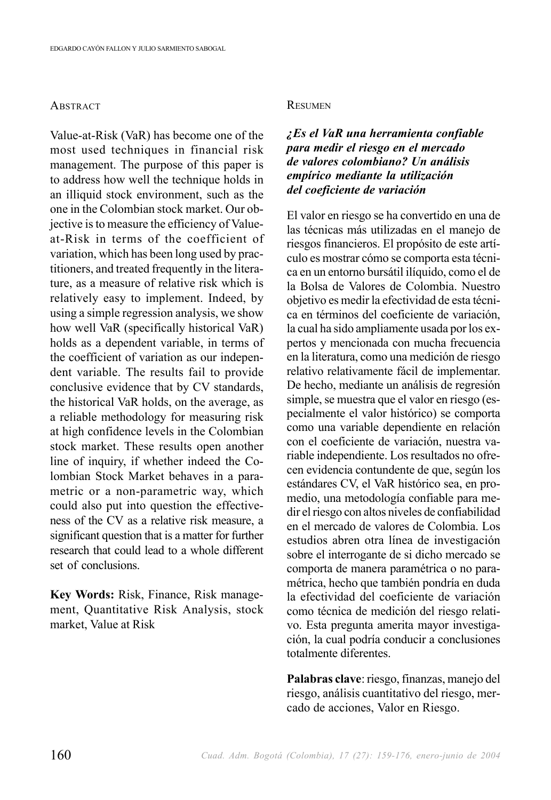#### **ABSTRACT**

Value-at-Risk (VaR) has become one of the most used techniques in financial risk management. The purpose of this paper is to address how well the technique holds in an illiquid stock environment, such as the one in the Colombian stock market. Our objective is to measure the efficiency of Valueat-Risk in terms of the coefficient of variation, which has been long used by practitioners, and treated frequently in the literature, as a measure of relative risk which is relatively easy to implement. Indeed, by using a simple regression analysis, we show how well VaR (specifically historical VaR) holds as a dependent variable, in terms of the coefficient of variation as our independent variable. The results fail to provide conclusive evidence that by CV standards, the historical VaR holds, on the average, as a reliable methodology for measuring risk at high confidence levels in the Colombian stock market. These results open another line of inquiry, if whether indeed the Colombian Stock Market behaves in a parametric or a non-parametric way, which could also put into question the effectiveness of the CV as a relative risk measure, a significant question that is a matter for further research that could lead to a whole different set of conclusions.

**Key Words:** Risk, Finance, Risk management, Quantitative Risk Analysis, stock market, Value at Risk

#### **RESUMEN**

#### *¿Es el VaR una herramienta confiable para medir el riesgo en el mercado de valores colombiano? Un análisis empírico mediante la utilización del coeficiente de variación*

El valor en riesgo se ha convertido en una de las técnicas más utilizadas en el manejo de riesgos financieros. El propósito de este artículo es mostrar cómo se comporta esta técnica en un entorno bursátil ilíquido, como el de la Bolsa de Valores de Colombia. Nuestro objetivo es medir la efectividad de esta técnica en términos del coeficiente de variación, la cual ha sido ampliamente usada por los expertos y mencionada con mucha frecuencia en la literatura, como una medición de riesgo relativo relativamente fácil de implementar. De hecho, mediante un análisis de regresión simple, se muestra que el valor en riesgo (especialmente el valor histórico) se comporta como una variable dependiente en relación con el coeficiente de variación, nuestra variable independiente. Los resultados no ofrecen evidencia contundente de que, según los estándares CV, el VaR histórico sea, en promedio, una metodología confiable para medir el riesgo con altos niveles de confiabilidad en el mercado de valores de Colombia. Los estudios abren otra línea de investigación sobre el interrogante de si dicho mercado se comporta de manera paramétrica o no paramétrica, hecho que también pondría en duda la efectividad del coeficiente de variación como técnica de medición del riesgo relativo. Esta pregunta amerita mayor investigación, la cual podría conducir a conclusiones totalmente diferentes.

**Palabras clave**: riesgo, finanzas, manejo del riesgo, análisis cuantitativo del riesgo, mercado de acciones, Valor en Riesgo.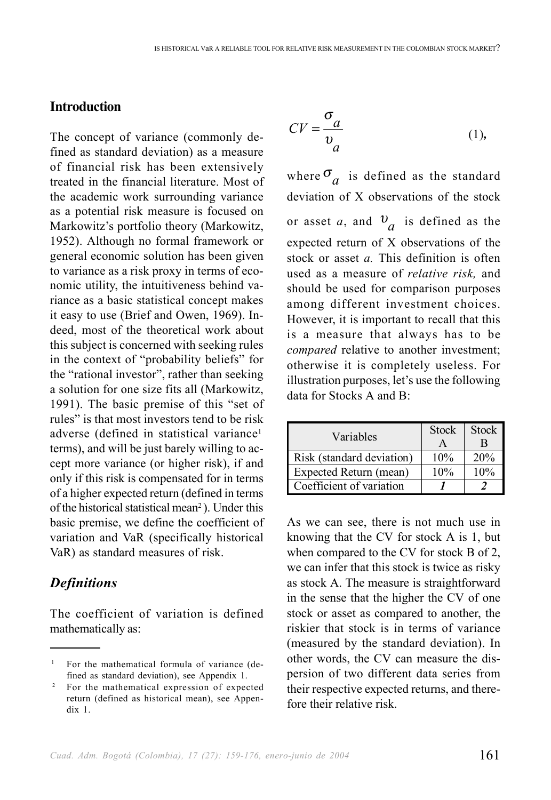#### **Introduction**

The concept of variance (commonly defined as standard deviation) as a measure of financial risk has been extensively treated in the financial literature. Most of the academic work surrounding variance as a potential risk measure is focused on Markowitz's portfolio theory (Markowitz, 1952). Although no formal framework or general economic solution has been given to variance as a risk proxy in terms of economic utility, the intuitiveness behind variance as a basic statistical concept makes it easy to use (Brief and Owen, 1969). Indeed, most of the theoretical work about this subject is concerned with seeking rules in the context of "probability beliefs" for the "rational investor", rather than seeking a solution for one size fits all (Markowitz, 1991). The basic premise of this "set of rules" is that most investors tend to be risk adverse (defined in statistical variance<sup>1</sup> terms), and will be just barely willing to accept more variance (or higher risk), if and only if this risk is compensated for in terms of a higher expected return (defined in terms of the historical statistical mean<sup>2</sup>). Under this basic premise, we define the coefficient of variation and VaR (specifically historical VaR) as standard measures of risk.

#### *Definitions*

The coefficient of variation is defined mathematically as:

$$
CV = \frac{\sigma_a}{v_a} \tag{1}
$$

where  $\sigma_{\overline{a}}$  is defined as the standard deviation of X observations of the stock or asset *a*, and  $v_a$  is defined as the expected return of X observations of the stock or asset *a.* This definition is often used as a measure of *relative risk,* and should be used for comparison purposes among different investment choices. However, it is important to recall that this is a measure that always has to be *compared* relative to another investment; otherwise it is completely useless. For illustration purposes, let's use the following data for Stocks A and B:

| Variables                 | <b>Stock</b> | <b>Stock</b> |
|---------------------------|--------------|--------------|
|                           | A            | B            |
| Risk (standard deviation) | 10%          | 20%          |
| Expected Return (mean)    | 10%          | 10%          |
| Coefficient of variation  |              |              |

As we can see, there is not much use in knowing that the CV for stock A is 1, but when compared to the CV for stock B of 2, we can infer that this stock is twice as risky as stock A. The measure is straightforward in the sense that the higher the CV of one stock or asset as compared to another, the riskier that stock is in terms of variance (measured by the standard deviation). In other words, the CV can measure the dispersion of two different data series from their respective expected returns, and therefore their relative risk.

<sup>1</sup> For the mathematical formula of variance (defined as standard deviation), see Appendix 1.

<sup>&</sup>lt;sup>2</sup> For the mathematical expression of expected return (defined as historical mean), see Appendix 1.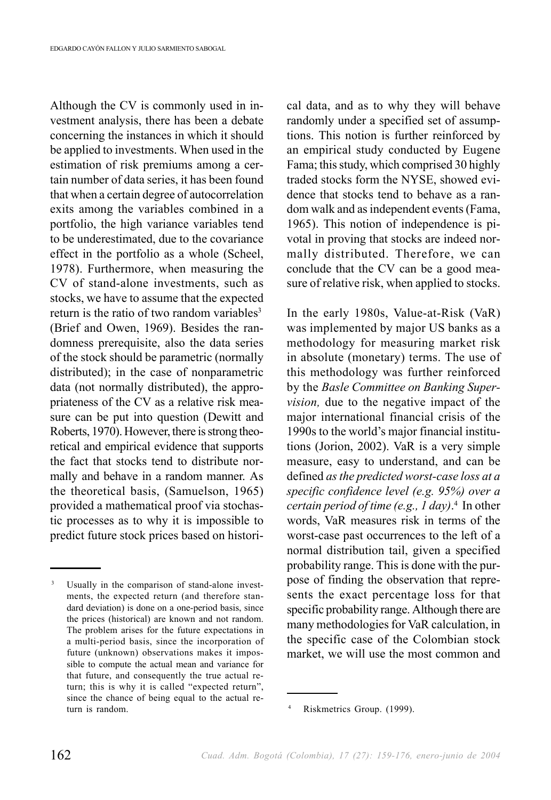Although the CV is commonly used in investment analysis, there has been a debate concerning the instances in which it should be applied to investments. When used in the estimation of risk premiums among a certain number of data series, it has been found that when a certain degree of autocorrelation exits among the variables combined in a portfolio, the high variance variables tend to be underestimated, due to the covariance effect in the portfolio as a whole (Scheel, 1978). Furthermore, when measuring the CV of stand-alone investments, such as stocks, we have to assume that the expected return is the ratio of two random variables<sup>3</sup> (Brief and Owen, 1969). Besides the randomness prerequisite, also the data series of the stock should be parametric (normally distributed); in the case of nonparametric data (not normally distributed), the appropriateness of the CV as a relative risk measure can be put into question (Dewitt and Roberts, 1970). However, there is strong theoretical and empirical evidence that supports the fact that stocks tend to distribute normally and behave in a random manner. As the theoretical basis, (Samuelson, 1965) provided a mathematical proof via stochastic processes as to why it is impossible to predict future stock prices based on historical data, and as to why they will behave randomly under a specified set of assumptions. This notion is further reinforced by an empirical study conducted by Eugene Fama; this study, which comprised 30 highly traded stocks form the NYSE, showed evidence that stocks tend to behave as a random walk and as independent events (Fama, 1965). This notion of independence is pivotal in proving that stocks are indeed normally distributed. Therefore, we can conclude that the CV can be a good measure of relative risk, when applied to stocks.

In the early 1980s, Value-at-Risk (VaR) was implemented by major US banks as a methodology for measuring market risk in absolute (monetary) terms. The use of this methodology was further reinforced by the *Basle Committee on Banking Supervision*, due to the negative impact of the major international financial crisis of the 1990s to the world's major financial institutions (Jorion, 2002). VaR is a very simple measure, easy to understand, and can be defined *as the predicted worst-case loss at a specific confidence level (e.g. 95%) over a certain period of time (e.g., 1 day)*. 4 In other words, VaR measures risk in terms of the worst-case past occurrences to the left of a normal distribution tail, given a specified probability range. This is done with the purpose of finding the observation that represents the exact percentage loss for that specific probability range. Although there are many methodologies for VaR calculation, in the specific case of the Colombian stock market, we will use the most common and

<sup>&</sup>lt;sup>3</sup> Usually in the comparison of stand-alone investments, the expected return (and therefore standard deviation) is done on a one-period basis, since the prices (historical) are known and not random. The problem arises for the future expectations in a multi-period basis, since the incorporation of future (unknown) observations makes it impossible to compute the actual mean and variance for that future, and consequently the true actual return; this is why it is called "expected return", since the chance of being equal to the actual return is random. 4 Riskmetrics Group. (1999).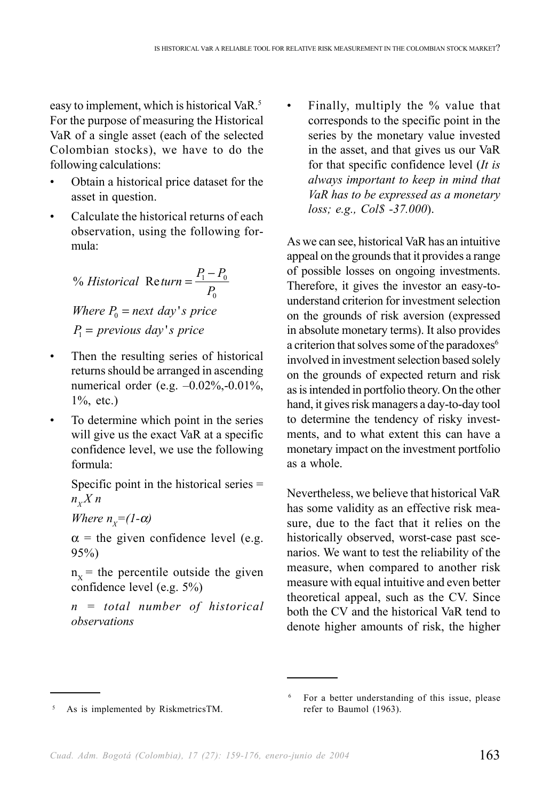easy to implement, which is historical VaR.<sup>5</sup> For the purpose of measuring the Historical VaR of a single asset (each of the selected Colombian stocks), we have to do the following calculations:

- Obtain a historical price dataset for the asset in question.
- Calculate the historical returns of each observation, using the following formula:

% Historical Return = 
$$
\frac{P_1 - P_0}{P_0}
$$

*Where*  $P_0$  = next day's price  $P_1$  = previous day's price

- Then the resulting series of historical returns should be arranged in ascending numerical order (e.g. –0.02%,-0.01%, 1%, etc.)
- To determine which point in the series will give us the exact VaR at a specific confidence level, we use the following formula:

Specific point in the historical series =  $n_{Y} X n$ 

*Where*  $n_x=(1-\alpha)$ 

 $\alpha$  = the given confidence level (e.g. 95%)

 $n_x$  = the percentile outside the given confidence level (e.g. 5%)

*n = total number of historical observations*

Finally, multiply the % value that corresponds to the specific point in the series by the monetary value invested in the asset, and that gives us our VaR for that specific confidence level (*It is always important to keep in mind that VaR has to be expressed as a monetary loss; e.g., Col\$ -37.000*).

As we can see, historical VaR has an intuitive appeal on the grounds that it provides a range of possible losses on ongoing investments. Therefore, it gives the investor an easy-tounderstand criterion for investment selection on the grounds of risk aversion (expressed in absolute monetary terms). It also provides a criterion that solves some of the paradoxes<sup>6</sup> involved in investment selection based solely on the grounds of expected return and risk as is intended in portfolio theory. On the other hand, it gives risk managers a day-to-day tool to determine the tendency of risky investments, and to what extent this can have a monetary impact on the investment portfolio as a whole.

Nevertheless, we believe that historical VaR has some validity as an effective risk measure, due to the fact that it relies on the historically observed, worst-case past scenarios. We want to test the reliability of the measure, when compared to another risk measure with equal intuitive and even better theoretical appeal, such as the CV. Since both the CV and the historical VaR tend to denote higher amounts of risk, the higher

As is implemented by RiskmetricsTM.

<sup>6</sup> For a better understanding of this issue, please refer to Baumol (1963).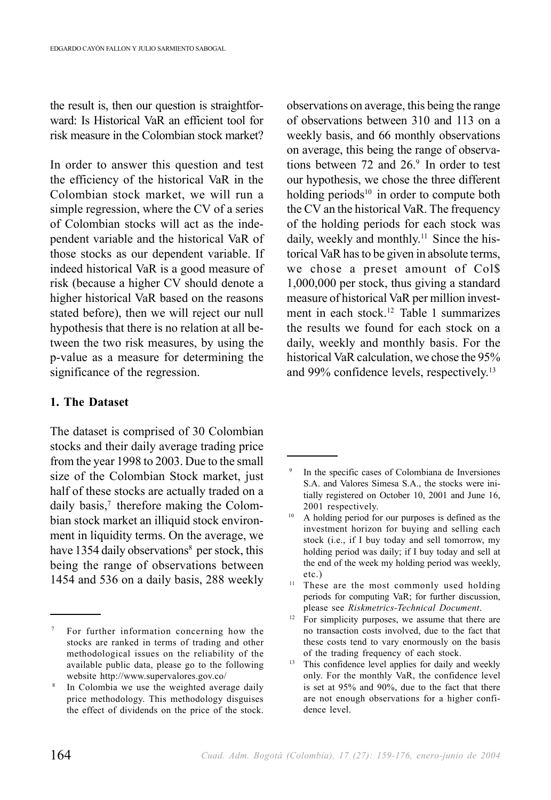the result is, then our question is straightforward: Is Historical VaR an efficient tool for risk measure in the Colombian stock market?

In order to answer this question and test the efficiency of the historical VaR in the Colombian stock market, we will run a simple regression, where the CV of a series of Colombian stocks will act as the independent variable and the historical VaR of those stocks as our dependent variable. If indeed historical VaR is a good measure of risk (because a higher CV should denote a higher historical VaR based on the reasons stated before), then we will reject our null hypothesis that there is no relation at all between the two risk measures, by using the p-value as a measure for determining the significance of the regression.

#### **1. The Dataset**

The dataset is comprised of 30 Colombian stocks and their daily average trading price from the year 1998 to 2003. Due to the small size of the Colombian Stock market, just half of these stocks are actually traded on a daily basis,<sup>7</sup> therefore making the Colombian stock market an illiquid stock environment in liquidity terms. On the average, we have 1354 daily observations<sup>8</sup> per stock, this being the range of observations between 1454 and 536 on a daily basis, 288 weekly observations on average, this being the range of observations between 310 and 113 on a weekly basis, and 66 monthly observations on average, this being the range of observations between 72 and  $26<sup>9</sup>$  In order to test our hypothesis, we chose the three different holding periods $10$  in order to compute both the CV an the historical VaR. The frequency of the holding periods for each stock was daily, weekly and monthly.<sup>11</sup> Since the historical VaR has to be given in absolute terms, we chose a preset amount of Col\$ 1,000,000 per stock, thus giving a standard measure of historical VaR per million investment in each stock.12 Table 1 summarizes the results we found for each stock on a daily, weekly and monthly basis. For the historical VaR calculation, we chose the 95% and 99% confidence levels, respectively.13

For further information concerning how the stocks are ranked in terms of trading and other methodological issues on the reliability of the available public data, please go to the following website http://www.supervalores.gov.co/

In Colombia we use the weighted average daily price methodology. This methodology disguises the effect of dividends on the price of the stock.

In the specific cases of Colombiana de Inversiones S.A. and Valores Simesa S.A., the stocks were initially registered on October 10, 2001 and June 16, 2001 respectively.

<sup>&</sup>lt;sup>10</sup> A holding period for our purposes is defined as the investment horizon for buying and selling each stock (i.e., if I buy today and sell tomorrow, my holding period was daily; if I buy today and sell at the end of the week my holding period was weekly, etc.)

<sup>&</sup>lt;sup>11</sup> These are the most commonly used holding periods for computing VaR; for further discussion, please see *Riskmetrics-Technical Document*.

<sup>&</sup>lt;sup>12</sup> For simplicity purposes, we assume that there are no transaction costs involved, due to the fact that these costs tend to vary enormously on the basis of the trading frequency of each stock.

<sup>&</sup>lt;sup>13</sup> This confidence level applies for daily and weekly only. For the monthly VaR, the confidence level is set at 95% and 90%, due to the fact that there are not enough observations for a higher confidence level.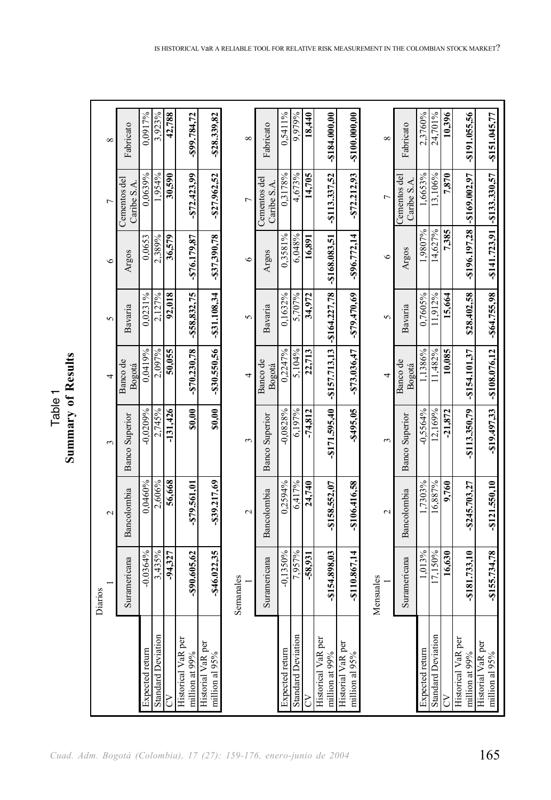| یم<br>F | Ę<br>ē<br>ξ<br>ζ |
|---------|------------------|
|         |                  |
|         |                  |

 $\Gamma$ 

| ${}^{\circ}$      | Fabricato                   | 0,0917%         | 3,923%                    | 42,788     | $-899.784.72$                        | $-$28.339.82$                       |           | $\infty$          | Fabricato                   | 0,5411%         | 9.979%                    | 18,440    | $-$184.000,00$                                  | $-$100.000.0018-$                          |           | $\infty$       | Fabricato                      | 2,3760%         | 24,701%                   | 10,396    | -\$191.055,56                               | $-$151.045.77$                      |
|-------------------|-----------------------------|-----------------|---------------------------|------------|--------------------------------------|-------------------------------------|-----------|-------------------|-----------------------------|-----------------|---------------------------|-----------|-------------------------------------------------|--------------------------------------------|-----------|----------------|--------------------------------|-----------------|---------------------------|-----------|---------------------------------------------|-------------------------------------|
|                   | Cementos del<br>Caribe S.A. | 0,0639%         | 1,954%                    | 30,590     | $-572.423.99$                        | $-$27.962,52$                       |           | $\overline{a}$    | Cementos del<br>Caribe S.A. | 0,3178%         | 4,673%                    | 14,705    | $-$113.337,52$                                  | $-$72.212.93$                              |           | $\overline{C}$ | $C$ ementos del<br>Caribe S.A. | 1,6653%         | 13,106%                   | 7,870     | $-8196.197,28$ $-8169.002,97$               | $-$141.723,91$ $-$133.330,57$       |
| $\circ$           | Argos                       | 0,0653          | 2,389%                    | 36,579     | $-876.179.87$                        | $-337,390,78$                       |           | $\circ$           | Argos                       | 0,3581%         | 6,048%                    | 16,891    | $-$157.713, 13$ $-$164.227, 78$ $-$168.083, 51$ | $-896.772,14$                              |           | $\circ$        | Argos                          | 1.9807%         | 14,627%                   | 7,385     |                                             |                                     |
| 5                 | Bavaria                     | 0,0231%         | 2,127%                    | 92,018     | $-$ \$58,832,75                      | $-$31.108.34$                       |           | 5                 | Bavaria                     | 0,1632%         | 5.707%                    | 34,972    |                                                 | $-879.470.69$                              |           | 5              | Bavaria                        | 0.7605%         | 11.912%                   | 15,664    | \$28.402,58                                 | $-864.755.98$                       |
| 4                 | Banco de<br>Bogotá          | 0.0419%         | 2,097%                    | 50,055     | $-870.230.78$                        | $-330.550.56$                       |           | 4                 | Banco de<br>Bogotá          | 0,2247%         | 5,104%                    | 22,713    |                                                 | $-$73.036,47$                              |           | 4              | Banco de<br>Bogotá             | 1.1386%         | 11,482%                   | 10,085    | $-$154.101.37$                              | $-819.497,33$ $-8108.076,12$        |
| $\epsilon$        | <b>Banco Superior</b>       | $-0.0209%$      | 2,745%                    | $-131,426$ | \$0,00                               | \$0,00                              |           | 3                 | <b>Banco Superior</b>       | $-0.0828%$      | 6,197%                    | $-74,812$ | $-$171.595,40$                                  | -\$495,05                                  |           | 3              | <b>Banco Superior</b>          | $-0.5564%$      | 12,169%                   | $-21,872$ | -\$113.350,79                               |                                     |
| $\mathbf{\Omega}$ | Bancolombia                 | 0,0460%         | 2,606%                    | 56,668     | -\$79.561.01                         | -\$39.217,69                        |           | $\mathbf{\Omega}$ | Bancolombia                 | 0,2594%         | 6,417%                    | 24,740    | $-$158.552,07$                                  | $-$106.416.58$                             |           | 2              | Bancolombia                    | 1.7303%         | 16,887%                   | 9,760     | $-$ \$245.703,27                            | $-$121.550,10$                      |
| Diarios           | Suramericana                | $-0.0364%$      | 3,435%                    | $-94,327$  | -\$90.605,62                         | $-$ \$46.022,35                     | Semanales |                   | Suramericana                | $-0.1350%$      | 7,957%                    | $-58,931$ | $-$154.898,03$                                  | $-$110.867,14$                             | Mensuales |                | Suramericana                   | 1,013%          | 17,150%                   | 16,630    | $-$181.733,10$                              | $-$155.734.78$                      |
|                   |                             | Expected return | <b>Standard Deviation</b> | 5          | Historical VaR per<br>million at 99% | Historial VaR per<br>million al 95% |           |                   |                             | Expected return | <b>Standard Deviation</b> | 5         | Historical VaR per<br>million at 99%            | <b>Historial VaR</b> per<br>million al 95% |           |                |                                | Expected return | <b>Standard Deviation</b> | Š         | <b>Historical VaR</b> per<br>million at 99% | Historial VaR per<br>million al 95% |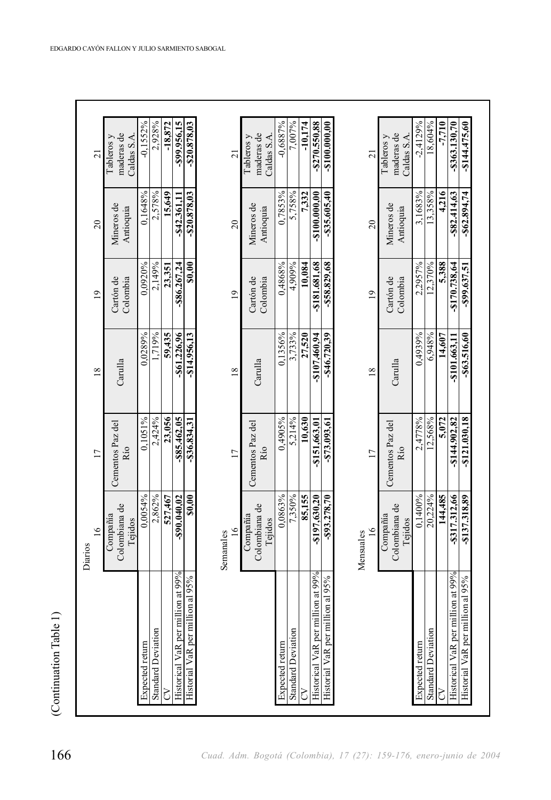|                                   | $\frac{6}{1}$                        | $\overline{17}$         | $\overline{18}$ | $\overline{19}$       | 20                      | $\overline{21}$                         |
|-----------------------------------|--------------------------------------|-------------------------|-----------------|-----------------------|-------------------------|-----------------------------------------|
|                                   | Colombiana de<br>Compañía<br>Tejidos | Cementos Paz del<br>Río | Carulla         | Cartón de<br>Colombia | Mineros de<br>Antioquia | maderas de<br>Caldas S.A.<br>Tableros v |
| Expected return                   | 0.0054%                              | 0.1051%                 | 0.0289%         | 0,0920%               | 0,1648%                 | $-0.1552%$                              |
| <b>Standard Deviation</b>         | 2,862%                               | 2,424%                  | 1,719%          | 2,149%                | 2,578%                  | 2,928%                                  |
| 5                                 | 527.467                              | 23.056                  | 59.435          | 23.351                | 15.649                  | $-18,872$                               |
| Historical VaR per million at 99% | $-$90.040.02$                        | -\$85.462,05            | $-$61.226.96$   | -\$86.267.24          | -\$42.361,11            | -\$99.956,15                            |
| Historial VaR per million al 95%  | \$0,00                               | $-$36.834,31$           | -\$14.956,13    | \$0,00                | -\$20.878,03            | $-520.878,03$                           |
|                                   | 16<br>Semanales                      | $\overline{17}$         | 18              | $\overline{1}$        | 20                      | $\overline{21}$                         |
|                                   | Colombiana de<br>Compañía<br>Tejidos | Cementos Paz del<br>Río | Carulla         | Cartón de<br>Colombia | Mineros de<br>Antioquia | maderas de<br>Caldas S.A.<br>Tableros y |
| Expected return                   | 0,0863%                              | 0,4905%                 | 0,1356%         | 0,4868%               | 0,7853%                 | $-0,6887%$                              |
| <b>Standard Deviation</b>         | 7,350%                               | 5,214%                  | 3,733%          | 4,909%                | 5,758%                  | 7,007%                                  |
| 5                                 | 85,155                               | 10,630                  | 27,520          | 10,084                | 7.332                   | $-10.174$                               |
| Historical VaR per million at 99% | $-8197,630,20$                       | -\$151,663.01           | $-8107,460.94$  | $-$181.681.68$        | $-$ \$100.000,00        | $-$270.550.88$                          |
| Historial VaR per million al 95%  | $-$93.278,70$                        | $-873.093,61$           | $-846.720.39$   | $-$58.829,68$         | $-835.605,40$           | $-8100.000,000$                         |
|                                   | Mensuales                            |                         |                 |                       |                         |                                         |
|                                   | $\frac{6}{1}$                        | $\overline{17}$         | 18              | $\overline{0}$        | $\overline{20}$         | $\overline{21}$                         |
|                                   | Colombiana de<br>Compañía<br>Tejidos | Cementos Paz del<br>Río | Carulla         | Cartón de<br>Colombia | Mineros de<br>Antioquia | maderas de<br>Caldas S.A.<br>Tableros y |
| Expected return                   | 0,1400%                              | 2,4778%                 | 0,4939%         | 2,2957%               | 3,1683%                 | $-2,4129%$                              |
| <b>Standard Deviation</b>         | 20,224%                              | 12,568%                 | 6,948%          | 12,370%               | 13,358%                 | 18,604%                                 |
| 5                                 | 144,485                              | 5.072                   | 14,607          | 5.388                 | 4,216                   | $-7,710$                                |
| Historical VaR per million at 99% | -8317.312,66                         | $-$144.902.82$          | -\$101.663,11   | -\$170.738,64         | $-882.414,63$           | $-$363.130,70$                          |
| Historial VaR per million al 95%  | $-$137.318,89$                       | $-$121.030,18$          | -\$63.516,60    | -899.637,51           | $-$62.894,74$           | $-8144.475,60$                          |

(Continuation Table 1) (Continuation Table 1)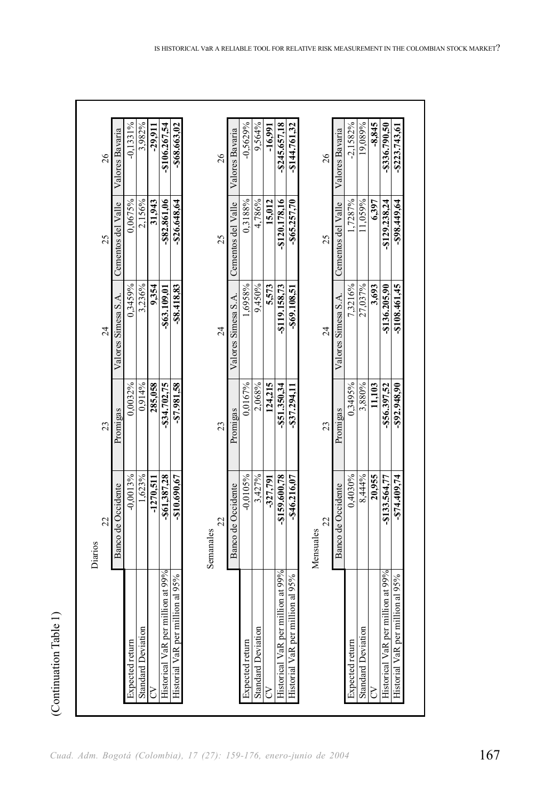| 26<br>25      | Valores Bavaria<br>Cementos del Valle | $-0,1331%$<br>0,0675% | 3,982%<br>2,156%          | $-29,911$<br>31,943 | -\$106.267,54<br>-\$82.861,06     | $-$68.663,02$<br>$-$26.648,64$   | 26<br>25        | Valores Bavaria<br>Cementos del Valle | $-0.5629%$<br>0,3188% | 9,564%<br>4,786%          | $-16,991$<br>15,012 | $-8245.657.18$<br>-\$120.178.16   | $-$144.761,32$<br>$-865.257,70$  |           | 26<br>25        | Valores Bavaria<br>Cementos del Valle | $-2.1582%$<br>.7287% | 19,089%<br>11,059% | $-8,845$<br>6,397 | $-3336.790.50$<br>$-$129.238.24$  | $-$223.743,61$<br>$-898.449.64$  |
|---------------|---------------------------------------|-----------------------|---------------------------|---------------------|-----------------------------------|----------------------------------|-----------------|---------------------------------------|-----------------------|---------------------------|---------------------|-----------------------------------|----------------------------------|-----------|-----------------|---------------------------------------|----------------------|--------------------|-------------------|-----------------------------------|----------------------------------|
| 24            | Valores Simesa S.A.                   | 0,3459%               | 3,236%                    | 9,354               | -\$63.109.01                      | $-88.418,83$                     | $\overline{24}$ | Valores Simesa S.A.                   | ,6958%                | 9,450%                    | 5,573               | -\$119.158,73                     | -\$69.108,51                     |           | $\overline{24}$ | Valores Simesa S.A.                   | 7,3216%              | 27,037%            | 3,693             | -\$136.205.90                     | $-$108.461,45$                   |
| 23            | Promigas                              | 0,0032%               | 0,914%                    | 285,058             | $-834.702,75$                     | $-87.981,58$                     | 23              | Promigas                              | 0.0167%               | 2,068%                    | 124,215             | $-$ \$51.350,34                   | $-837.294,11$                    |           | 23              | Promigas                              | 0,3495%              | 3,880%             | 11,103            | $-$56.397.52$                     | $-592.948,90$                    |
| 22<br>Diarios | Banco de Occidente                    | $-0,0013%$            | 1,623%                    | $-1270,511$         | -\$61,387,28                      | $-810.690,67$                    | 22<br>Semanales | Banco de Occidente                    | $-0.0105%$            | 3,427%                    | $-327,791$          | -\$159.600.78                     | $-$46.216,07$                    | Mensuales | 22              | Banco de Occidente                    | 0,4030%              | 8,444%             | 20,955            | -\$133.564.77                     | $-874.409,74$                    |
|               |                                       | Expected return       | <b>Standard Deviation</b> | S                   | Historical VaR per million at 99% | Historial VaR per million al 95% |                 |                                       | Expected return       | <b>Standard Deviation</b> | S                   | Historical VaR per million at 99% | Historial VaR per million al 95% |           |                 |                                       | Expected return      | Standard Deviation | Š                 | Historical VaR per million at 99% | Historial VaR per million al 95% |

(Continuation Table 1) (Continuation Table 1)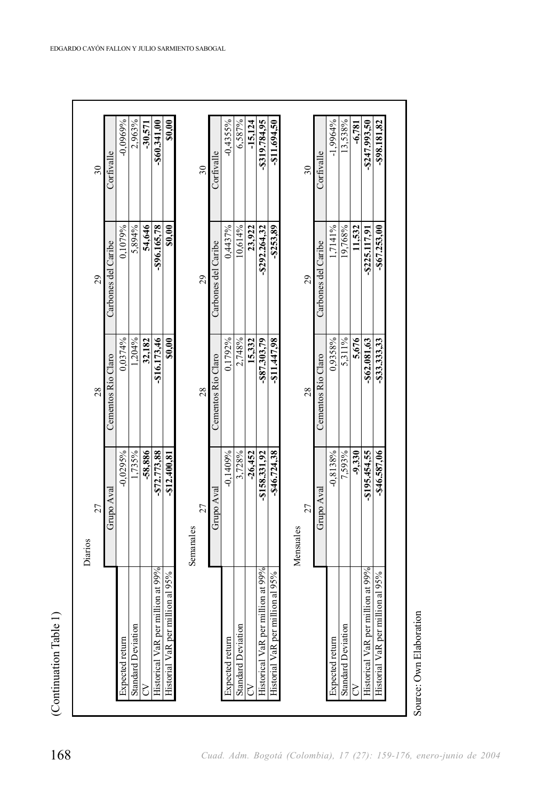|                                     | 27             | 28                 | 29                  | 30             |
|-------------------------------------|----------------|--------------------|---------------------|----------------|
|                                     | Grupo Aval     | Cementos Río Claro | Carbones del Caribe | Corfivalle     |
| <b>Expected</b> return              | $-0.0295%$     | 0.0374%            | 0,1079%             | $-0.0969%$     |
| <b>Standard Deviation</b>           | 1,735%         | 1,204%             | 5,894%              | 2,963%         |
|                                     | -58.886        | 32,182             | 54,646              | $-30.571$      |
| Historical VaR per million at 99%   | -\$72.773,88   | $-$16.173,46$      | -\$96.165,78        | $-860.341,00$  |
| million al 95%<br>Historial VaR per | $-$12.400,81$  | \$0,00             | \$0,00              | \$0,00         |
|                                     | Semanales      |                    |                     |                |
|                                     | 27             | 28                 | 29                  | 30             |
|                                     | Grupo Aval     | Cementos Río Claro | Carbones del Caribe | Corfivalle     |
| Expected return                     | $-0.1409%$     | 0.1792%            | 0,4437%             | $-0.4355%$     |
| <b>Standard Deviation</b>           | 3,728%         | 2,748%             | 10,614%             | 6,587%         |
| 3                                   | $-26.452$      | 15.332             | 23.922              | $-15.124$      |
| Historical VaR per million at 99%   | $-$158.331,92$ | $-887.303,79$      | $-8292.264,32$      | -\$319.784,95  |
| million al 95%<br>Historial VaR per | $-$46.724,38$  | $-811.447,98$      | $-8253,89$          | $-$11.694,50$  |
|                                     | Mensuales      |                    |                     |                |
|                                     | 27             | 28                 | 29                  | 30             |
|                                     | Grupo Aval     | Cementos Río Claro | Carbones del Caribe | Corfivalle     |
| Expected return                     | $-0.8138%$     | 0.9358%            | 1,7141%             | $-1.9964%$     |
| <b>Standard Deviation</b>           | 7,593%         | 5,311%             | 19,768%             | 13,538%        |
| 3                                   | $-9.330$       | 5.676              | 11.532              | $-6,781$       |
| Historical VaR per million at 99%   | -\$195.454,55  | -\$62.081,63       | $-8225.117,91$      | $-8247.993,50$ |
| million al 95%<br>Historial VaR per | -\$46.587,06   | -833.333,33        | $-867.253,00$       | $-898.181.82$  |

(Continuation Table 1) (Continuation Table 1)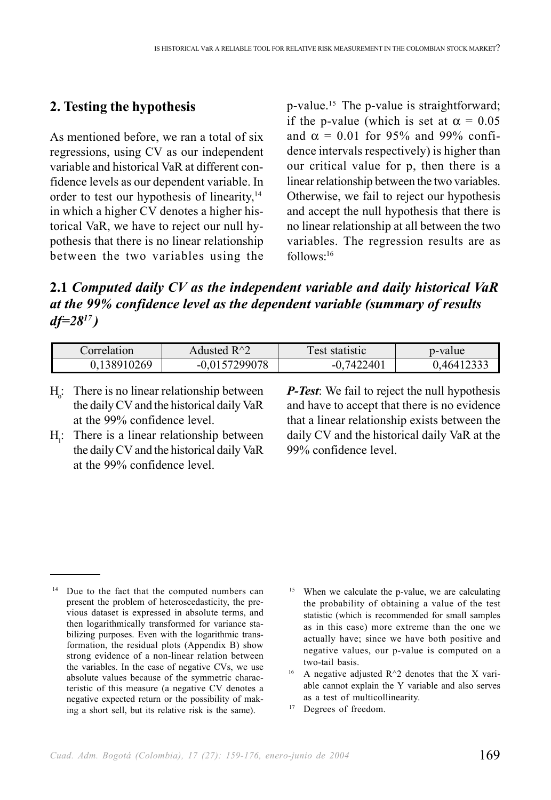#### **2. Testing the hypothesis**

As mentioned before, we ran a total of six regressions, using CV as our independent variable and historical VaR at different confidence levels as our dependent variable. In order to test our hypothesis of linearity,<sup>14</sup> in which a higher CV denotes a higher historical VaR, we have to reject our null hypothesis that there is no linear relationship between the two variables using the p-value.15 The p-value is straightforward; if the p-value (which is set at  $\alpha = 0.05$ and  $\alpha = 0.01$  for 95% and 99% confidence intervals respectively) is higher than our critical value for p, then there is a linear relationship between the two variables. Otherwise, we fail to reject our hypothesis and accept the null hypothesis that there is no linear relationship at all between the two variables. The regression results are as  $follows<sup>-16</sup>$ 

**2.1** *Computed daily CV as the independent variable and daily historical VaR at the 99% confidence level as the dependent variable (summary of results df=2817 )*

| Correlation | $R \wedge \gamma$<br>Adusted | est<br>statistic | p-value |
|-------------|------------------------------|------------------|---------|
| 38910269    | 700078                       | 240<br>ıΔ        | 464     |

- $H_0$ : There is no linear relationship between the daily CV and the historical daily VaR at the 99% confidence level.
- $H<sub>1</sub>$ : There is a linear relationship between the daily CV and the historical daily VaR at the 99% confidence level.

*P-Test*: We fail to reject the null hypothesis and have to accept that there is no evidence that a linear relationship exists between the daily CV and the historical daily VaR at the 99% confidence level.

- <sup>15</sup> When we calculate the p-value, we are calculating the probability of obtaining a value of the test statistic (which is recommended for small samples as in this case) more extreme than the one we actually have; since we have both positive and negative values, our p-value is computed on a two-tail basis.
- A negative adjusted  $R^2$  denotes that the X variable cannot explain the Y variable and also serves as a test of multicollinearity.
- <sup>17</sup> Degrees of freedom.

<sup>&</sup>lt;sup>14</sup> Due to the fact that the computed numbers can present the problem of heteroscedasticity, the previous dataset is expressed in absolute terms, and then logarithmically transformed for variance stabilizing purposes. Even with the logarithmic transformation, the residual plots (Appendix B) show strong evidence of a non-linear relation between the variables. In the case of negative CVs, we use absolute values because of the symmetric characteristic of this measure (a negative CV denotes a negative expected return or the possibility of making a short sell, but its relative risk is the same).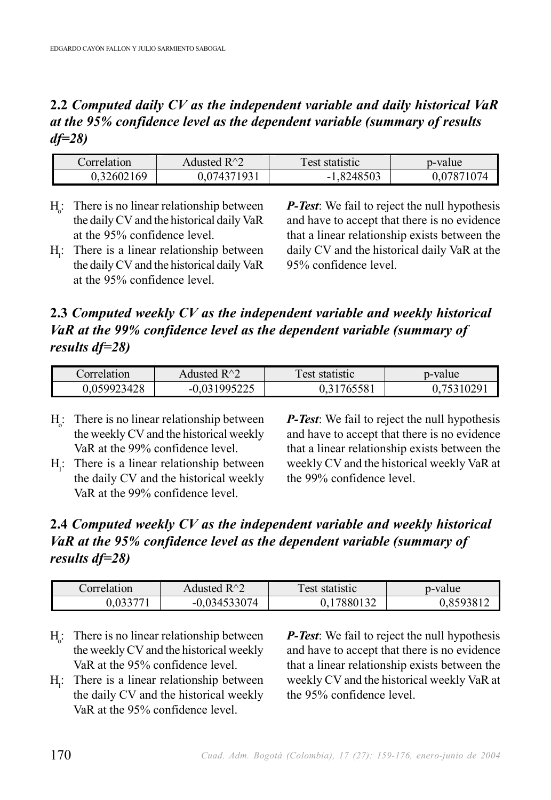## **2.2** *Computed daily CV as the independent variable and daily historical VaR at the 95% confidence level as the dependent variable (summary of results df=28)*

| Correlation | $R^{\wedge}$<br>Adustec | ౼<br>l est<br>. statistic | p-value  |
|-------------|-------------------------|---------------------------|----------|
| 69          | 271271021               | .8248503                  | 07871074 |
| 1,326021    | $\mu$                   | - 1                       |          |

- $H<sub>o</sub>$ : There is no linear relationship between the daily CV and the historical daily VaR at the 95% confidence level.
- $H<sub>1</sub>$ : There is a linear relationship between the daily CV and the historical daily VaR at the 95% confidence level.

*P-Test*: We fail to reject the null hypothesis and have to accept that there is no evidence that a linear relationship exists between the daily CV and the historical daily VaR at the 95% confidence level.

## **2.3** *Computed weekly CV as the independent variable and weekly historical VaR at the 99% confidence level as the dependent variable (summary of results df=28)*

| Correlation | $R^{\wedge}$<br>Adusted | Test statistic | p-value |
|-------------|-------------------------|----------------|---------|
| 0.059923428 | 031005225<br>ت سے س     | 1765581        | 310291  |

- $H_0$ : There is no linear relationship between the weekly CV and the historical weekly VaR at the 99% confidence level.
- $H<sub>1</sub>$ : There is a linear relationship between the daily CV and the historical weekly VaR at the 99% confidence level.

*P-Test*: We fail to reject the null hypothesis and have to accept that there is no evidence that a linear relationship exists between the weekly CV and the historical weekly VaR at the 99% confidence level.

## **2.4** *Computed weekly CV as the independent variable and weekly historical VaR at the 95% confidence level as the dependent variable (summary of results df=28)*

| Correlation      | $R^{\wedge}$<br>Adusted         | est<br>statistic | p-value |
|------------------|---------------------------------|------------------|---------|
| $\sim$ 000 $\pi$ | 4533074<br>- 14<br>$-U$ .<br>л. | 122<br>7880      |         |

- $H_0$ : There is no linear relationship between the weekly CV and the historical weekly VaR at the 95% confidence level.
- $H<sub>1</sub>$ : There is a linear relationship between the daily CV and the historical weekly VaR at the 95% confidence level.

*P-Test*: We fail to reject the null hypothesis and have to accept that there is no evidence that a linear relationship exists between the weekly CV and the historical weekly VaR at the 95% confidence level.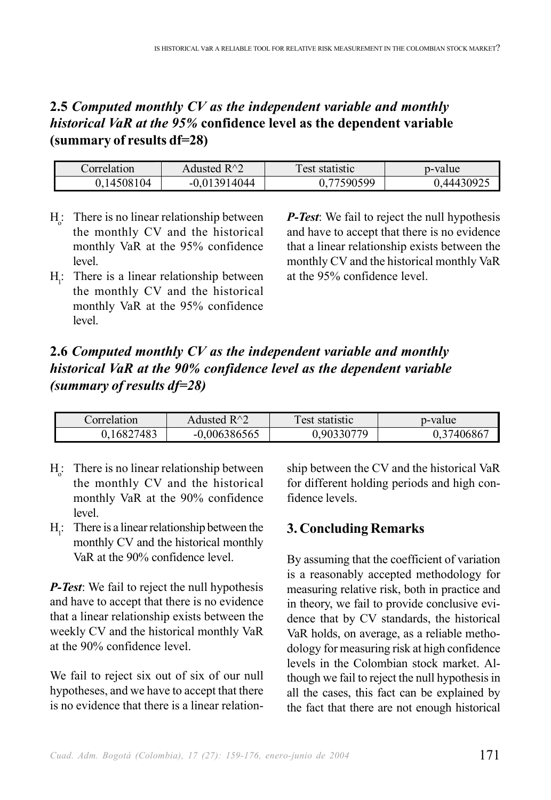## **2.5** *Computed monthly CV as the independent variable and monthly historical VaR at the 95%* **confidence level as the dependent variable (summary of results df=28)**

| Correlation | Adusted $R^2$  | Test statistic | p-value    |
|-------------|----------------|----------------|------------|
| 0.14508104  | $-0.013914044$ | 77590599       | 0.44430925 |

- $H_0$ : There is no linear relationship between the monthly CV and the historical monthly VaR at the 95% confidence level.
- $H<sub>1</sub>$ : There is a linear relationship between the monthly CV and the historical monthly VaR at the 95% confidence level.

*P-Test*: We fail to reject the null hypothesis and have to accept that there is no evidence that a linear relationship exists between the monthly CV and the historical monthly VaR at the 95% confidence level.

## **2.6** *Computed monthly CV as the independent variable and monthly historical VaR at the 90% confidence level as the dependent variable (summary of results df=28)*

| Correlation | Adusted $R^{\wedge}2$ | Test statistic | p-value  |
|-------------|-----------------------|----------------|----------|
| 0,16827483  | $-0.006386565$        | 0.90330779     | 37406867 |

- $H_0$ : There is no linear relationship between the monthly CV and the historical monthly VaR at the 90% confidence level.
- $H<sub>1</sub>$ : There is a linear relationship between the monthly CV and the historical monthly VaR at the 90% confidence level.

*P-Test*: We fail to reject the null hypothesis and have to accept that there is no evidence that a linear relationship exists between the weekly CV and the historical monthly VaR at the 90% confidence level.

We fail to reject six out of six of our null hypotheses, and we have to accept that there is no evidence that there is a linear relationship between the CV and the historical VaR for different holding periods and high confidence levels.

# **3. Concluding Remarks**

By assuming that the coefficient of variation is a reasonably accepted methodology for measuring relative risk, both in practice and in theory, we fail to provide conclusive evidence that by CV standards, the historical VaR holds, on average, as a reliable methodology for measuring risk at high confidence levels in the Colombian stock market. Although we fail to reject the null hypothesis in all the cases, this fact can be explained by the fact that there are not enough historical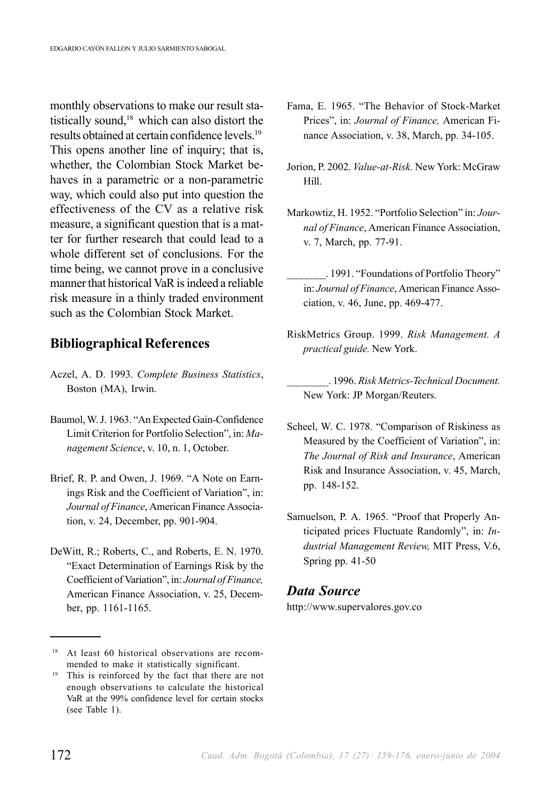monthly observations to make our result statistically sound,18 which can also distort the results obtained at certain confidence levels.19 This opens another line of inquiry; that is, whether, the Colombian Stock Market behaves in a parametric or a non-parametric way, which could also put into question the effectiveness of the CV as a relative risk measure, a significant question that is a matter for further research that could lead to a whole different set of conclusions. For the time being, we cannot prove in a conclusive manner that historical VaR is indeed a reliable risk measure in a thinly traded environment such as the Colombian Stock Market.

#### **Bibliographical References**

- Aczel, A. D. 1993. *Complete Business Statistics*, Boston (MA), Irwin.
- Baumol, W. J. 1963. "An Expected Gain-Confidence Limit Criterion for Portfolio Selection", in: *Management Science*, v. 10, n. 1, October.
- Brief, R. P. and Owen, J. 1969. "A Note on Earnings Risk and the Coefficient of Variation", in: *Journal of Finance*, American Finance Association, v. 24, December, pp. 901-904.
- DeWitt, R.; Roberts, C., and Roberts, E. N. 1970. "Exact Determination of Earnings Risk by the Coefficient of Variation", in: *Journal of Finance,* American Finance Association, v. 25, December, pp. 1161-1165.
- Fama, E. 1965. "The Behavior of Stock-Market Prices", in: *Journal of Finance,* American Finance Association, v. 38, March, pp. 34-105.
- Jorion, P. 2002. *Value-at-Risk.* New York: McGraw Hill.
- Markowtiz, H. 1952. "Portfolio Selection" in: *Journal of Finance*, American Finance Association, v. 7, March, pp. 77-91.
	- \_\_\_\_\_\_\_\_. 1991. "Foundations of Portfolio Theory" in: *Journal of Finance*, American Finance Association, v. 46, June, pp. 469-477.
- RiskMetrics Group. 1999. *Risk Management. A practical guide.* New York.
	- \_\_\_\_\_\_\_\_. 1996. *Risk Metrics-Technical Document.* New York: JP Morgan/Reuters.
- Scheel, W. C. 1978. "Comparison of Riskiness as Measured by the Coefficient of Variation", in: *The Journal of Risk and Insurance*, American Risk and Insurance Association, v. 45, March, pp. 148-152.
- Samuelson, P. A. 1965. "Proof that Properly Anticipated prices Fluctuate Randomly", in: *Industrial Management Review,* MIT Press, V.6, Spring pp. 41-50

#### *Data Source*

http://www.supervalores.gov.co

<sup>&</sup>lt;sup>18</sup> At least 60 historical observations are recommended to make it statistically significant.

<sup>19</sup> This is reinforced by the fact that there are not enough observations to calculate the historical VaR at the 99% confidence level for certain stocks (see Table 1).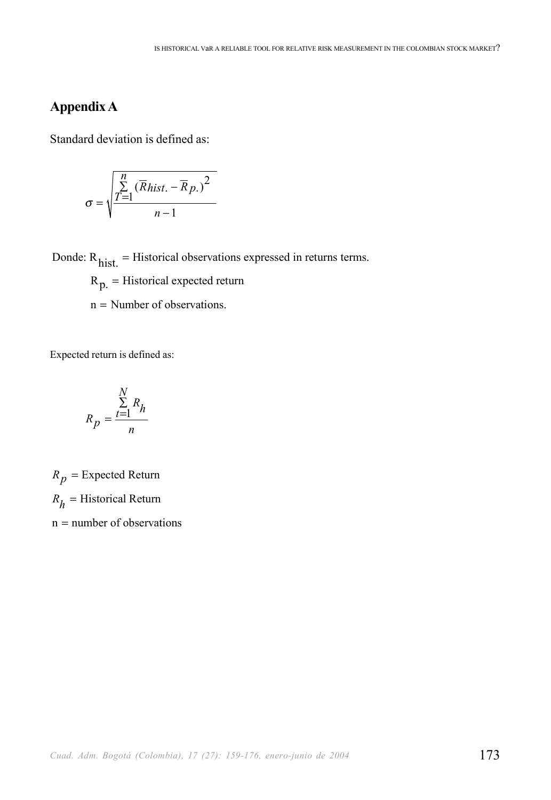## **Appendix A**

Standard deviation is defined as:

$$
\sigma = \sqrt{\frac{\sum_{T=1}^{n} (\overline{R}_{hist.} - \overline{R}_{p.})^2}{n-1}}
$$

Donde: R<sub>hist.</sub> = Historical observations expressed in returns terms.

 $R_{p}$  = Historical expected return

 $n =$  Number of observations.

Expected return is defined as:

$$
R_p = \frac{\sum_{t=1}^{N} R_h}{n}
$$

 $R_p$  = Expected Return  $R_h$  = Historical Return n = number of observations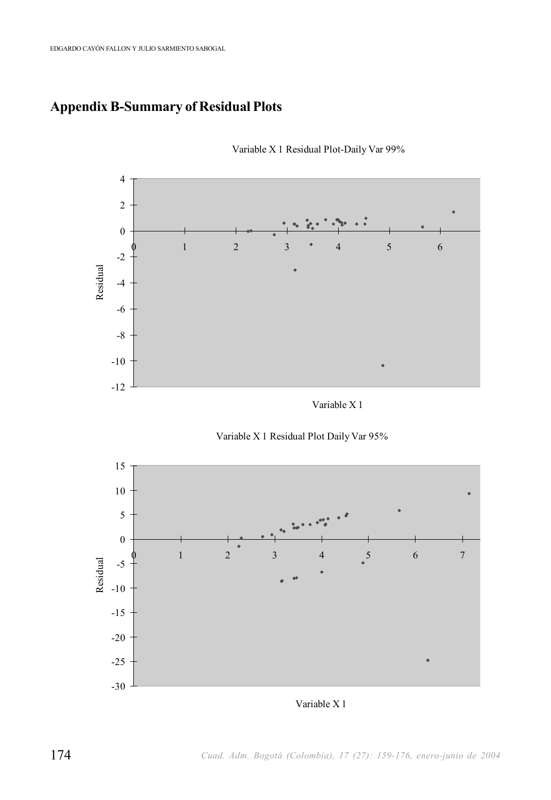## **Appendix B-Summary of Residual Plots**



Variable X 1 Residual Plot-Daily Var 99%

Variable X 1





Variable X 1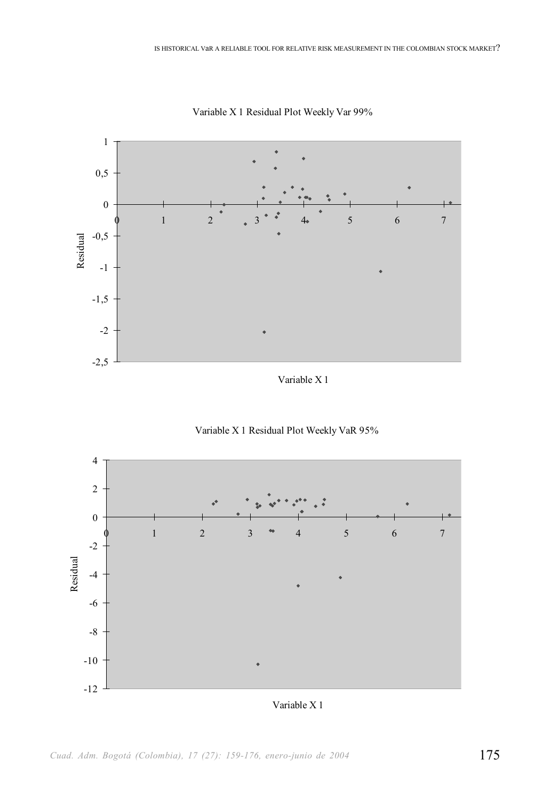

Variable X 1 Residual Plot Weekly Var 99%

Variable X 1





Variable X 1